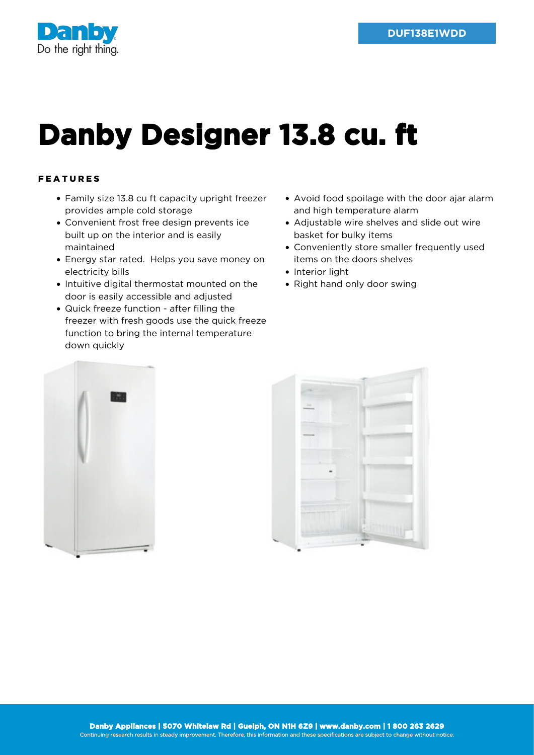



## **Danby Designer 13.8 cu. ft**

## FEATURES

- Family size 13.8 cu ft capacity upright freezer provides ample cold storage
- Convenient frost free design prevents ice built up on the interior and is easily maintained
- Energy star rated. Helps you save money on electricity bills
- Intuitive digital thermostat mounted on the door is easily accessible and adjusted
- Quick freeze function after filling the freezer with fresh goods use the quick freeze function to bring the internal temperature down quickly
- Avoid food spoilage with the door ajar alarm and high temperature alarm
- Adjustable wire shelves and slide out wire basket for bulky items
- Conveniently store smaller frequently used items on the doors shelves
- Interior light
- Right hand only door swing